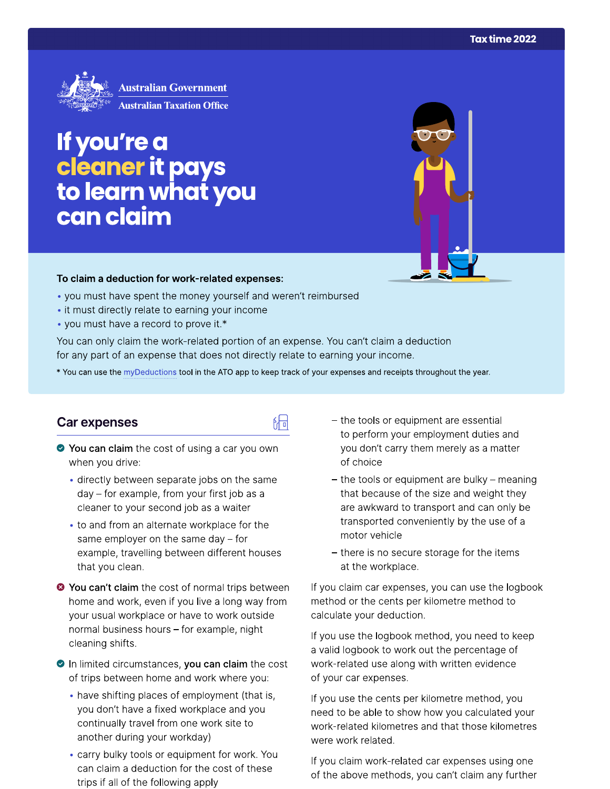

# If you're a cleaner it pays<br>to learn what you can claim



#### To claim a deduction for work-related expenses:

- you must have spent the money yourself and weren't reimbursed
- it must directly relate to earning your income
- you must have a record to prove it.\*

You can only claim the work-related portion of an expense. You can't claim a deduction for any part of an expense that does not directly relate to earning your income.

\* You can use the myDeductions tool in the ATO app to keep track of your expenses and receipts throughout the year.

品

## **Car expenses**

- ◆ You can claim the cost of using a car you own when you drive:
	- directly between separate jobs on the same day - for example, from your first job as a cleaner to your second job as a waiter
	- to and from an alternate workplace for the same employer on the same day  $-$  for example, travelling between different houses that you clean.
- <sup>●</sup> You can't claim the cost of normal trips between home and work, even if you live a long way from your usual workplace or have to work outside normal business hours - for example, night cleaning shifts.
- In limited circumstances, you can claim the cost of trips between home and work where you:
	- have shifting places of employment (that is, you don't have a fixed workplace and you continually travel from one work site to another during your workday)
	- carry bulky tools or equipment for work. You can claim a deduction for the cost of these trips if all of the following apply
- the tools or equipment are essential to perform your employment duties and you don't carry them merely as a matter of choice
- $-$  the tools or equipment are bulky  $-$  meaning that because of the size and weight they are awkward to transport and can only be transported conveniently by the use of a motor vehicle
- there is no secure storage for the items at the workplace.

If you claim car expenses, you can use the logbook method or the cents per kilometre method to calculate your deduction.

If you use the logbook method, you need to keep a valid logbook to work out the percentage of work-related use along with written evidence of your car expenses.

If you use the cents per kilometre method, you need to be able to show how you calculated your work-related kilometres and that those kilometres were work related.

If you claim work-related car expenses using one of the above methods, you can't claim any further